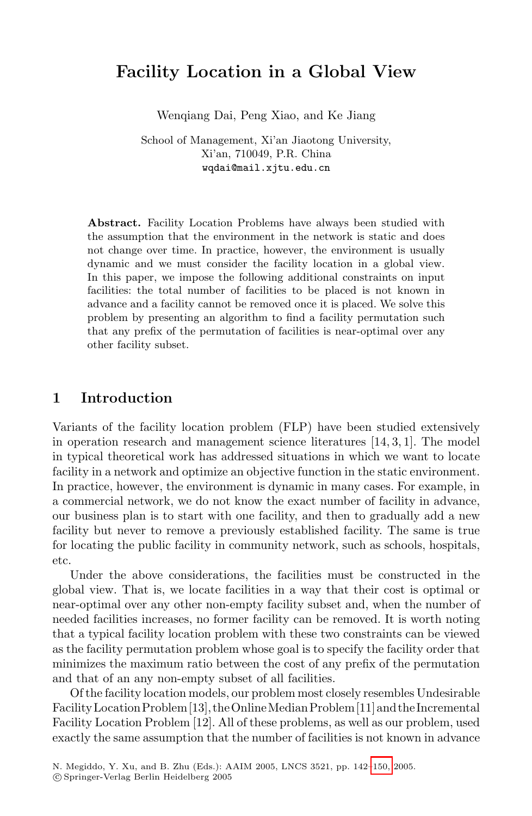# **Facility Location in a Global View**

Wenqiang Dai, Peng Xiao, and Ke Jiang

School of Management, Xi'an Jiaotong University, Xi'an, 710049, P.R. China wqdai@mail.xjtu.edu.cn

**Abstract.** Facility Location Problems have always been studied with the assumption that the environment in the network is static and does not change over time. In practice, however, the environment is usually dynamic and we must consider the facility location in a global view. In this paper, we impose the following additional constraints on input facilities: the total number of facilities to be placed is not known in advance and a facility cannot be removed once it is placed. We solve this problem by presenting an algorithm to find a facility permutation such that any prefix of the permutation of facilities is near-optimal over any other facility subset.

# **1 Introduction**

Variants of the facility location problem (FLP) have been studied extensively in operation research and management science literatures [14, 3, 1]. The model in typical theoretical work has addressed situations in which we want to locate facility in a network and optimize an objective function in the static environment. In practice, however, the environment is dynamic in many cases. For example, in a commercial network, we do not know the exact number of facility in advance, our business plan is to start with one facility, and then to gradually add a new facility but never to remove a previously established facility. The same is true for locating the public facility in community network, such as schools, hospitals, etc.

Under the above considerations, the facilities must be constructed in the global view. That is, we locate facilities in a way that their cost is optimal or near-optimal over any other non-empty facility subset and, when the number of needed facilities increases, no former facility can be removed. It is worth noting that a typical facility location problem with these two constraints can be viewed as the facility permutation problem whose goal is to specify the facility order that minimizes the maximum ratio between the cost of any prefix of the permutation and that of an any non-empty subset of all facilities.

Of the facility location models, our problem most closely resembles Undesirable FacilityLocationProblem[13], theOnlineMedianProblem[11] and the Incremental Facility Location Problem [12]. All of these problems, as well as our problem, used exactly the same assumption that the number of facilities is not known in advance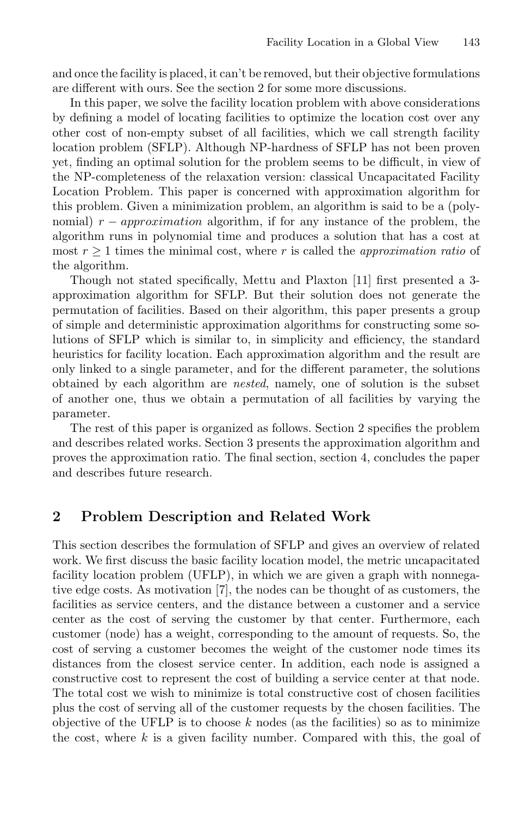and once the facility is placed, it can't be removed, but their objective formulations are different with ours. See the section 2 for some more discussions.

In this paper, we solve the facility location problem with above considerations by defining a model of locating facilities to optimize the location cost over any other cost of non-empty subset of all facilities, which we call strength facility location problem (SFLP). Although NP-hardness of SFLP has not been proven yet, finding an optimal solution for the problem seems to be difficult, in view of the NP-completeness of the relaxation version: classical Uncapacitated Facility Location Problem. This paper is concerned with approximation algorithm for this problem. Given a minimization problem, an algorithm is said to be a (polynomial)  $r - approximation$  algorithm, if for any instance of the problem, the algorithm runs in polynomial time and produces a solution that has a cost at most  $r \geq 1$  times the minimal cost, where r is called the *approximation ratio* of the algorithm.

Though not stated specifically, Mettu and Plaxton [11] first presented a 3 approximation algorithm for SFLP. But their solution does not generate the permutation of facilities. Based on their algorithm, this paper presents a group of simple and deterministic approximation algorithms for constructing some solutions of SFLP which is similar to, in simplicity and efficiency, the standard heuristics for facility location. Each approximation algorithm and the result are only linked to a single parameter, and for the different parameter, the solutions obtained by each algorithm are *nested*, namely, one of solution is the subset of another one, thus we obtain a permutation of all facilities by varying the parameter.

The rest of this paper is organized as follows. Section 2 specifies the problem and describes related works. Section 3 presents the approximation algorithm and proves the approximation ratio. The final section, section 4, concludes the paper and describes future research.

# **2 Problem Description and Related Work**

This section describes the formulation of SFLP and gives an overview of related work. We first discuss the basic facility location model, the metric uncapacitated facility location problem (UFLP), in which we are given a graph with nonnegative edge costs. As motivation [7], the nodes can be thought of as customers, the facilities as service centers, and the distance between a customer and a service center as the cost of serving the customer by that center. Furthermore, each customer (node) has a weight, corresponding to the amount of requests. So, the cost of serving a customer becomes the weight of the customer node times its distances from the closest service center. In addition, each node is assigned a constructive cost to represent the cost of building a service center at that node. The total cost we wish to minimize is total constructive cost of chosen facilities plus the cost of serving all of the customer requests by the chosen facilities. The objective of the UFLP is to choose  $k$  nodes (as the facilities) so as to minimize the cost, where  $k$  is a given facility number. Compared with this, the goal of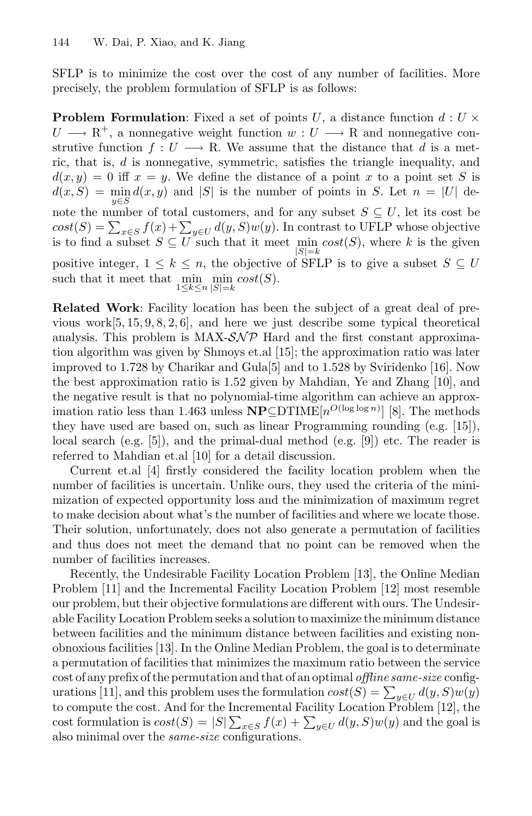SFLP is to minimize the cost over the cost of any number of facilities. More precisely, the problem formulation of SFLP is as follows:

**Problem Formulation:** Fixed a set of points U, a distance function  $d: U \times$  $U \longrightarrow \mathbb{R}^+$ , a nonnegative weight function  $w: U \longrightarrow \mathbb{R}$  and nonnegative construtive function  $f: U \longrightarrow \mathbb{R}$ . We assume that the distance that d is a metric, that is, d is nonnegative, symmetric, satisfies the triangle inequality, and  $d(x, y) = 0$  iff  $x = y$ . We define the distance of a point x to a point set S is  $d(x, S) = \min_{y \in S} d(x, y)$  and |S| is the number of points in S. Let  $n = |U|$  denote the number of total customers, and for any subset  $S \subseteq U$ , let its cost be  $cost(S) = \sum_{x \in S} f(x) + \sum_{y \in U} d(y, S)w(y)$ . In contrast to UFLP whose objective is to find a subset  $S \subseteq U$  such that it meet min  $cost(S)$ , where k is the given  $|S|=k$ positive integer,  $1 \leq k \leq n$ , the objective of SFLP is to give a subset  $S \subseteq U$ such that it meet that  $\min_{1 \leq k \leq n} \min_{|S|=k}$  $cost(S).$ 

**Related Work**: Facility location has been the subject of a great deal of previous work[5, 15, 9, 8, 2, 6], and here we just describe some typical theoretical analysis. This problem is  $MAX\text{-}S\mathcal{N}P$  Hard and the first constant approximation algorithm was given by Shmoys et.al [15]; the approximation ratio was later improved to 1.728 by Charikar and Gula[5] and to 1.528 by Sviridenko [16]. Now the best approximation ratio is 1.52 given by Mahdian, Ye and Zhang [10], and the negative result is that no polynomial-time algorithm can achieve an approximation ratio less than 1.463 unless  $NP \subseteq DTIME[n^{O(\log \log n)}]$  [8]. The methods they have used are based on, such as linear Programming rounding (e.g. [15]), local search (e.g. [5]), and the primal-dual method (e.g. [9]) etc. The reader is referred to Mahdian et.al [10] for a detail discussion.

Current et.al [4] firstly considered the facility location problem when the number of facilities is uncertain. Unlike ours, they used the criteria of the minimization of expected opportunity loss and the minimization of maximum regret to make decision about what's the number of facilities and where we locate those. Their solution, unfortunately, does not also generate a permutation of facilities and thus does not meet the demand that no point can be removed when the number of facilities increases.

Recently, the Undesirable Facility Location Problem [13], the Online Median Problem [11] and the Incremental Facility Location Problem [12] most resemble our problem, but their objective formulations are different with ours. The Undesirable Facility Location Problem seeks a solution to maximize the minimum distance between facilities and the minimum distance between facilities and existing nonobnoxious facilities [13]. In the Online Median Problem, the goal is to determinate a permutation of facilities that minimizes the maximum ratio between the service cost of any prefix of the permutation and that of an optimal *offline same-size* configurations [11], and this problem uses the formulation  $cost(S) = \sum_{y \in U} d(y, S)w(y)$ to compute the cost. And for the Incremental Facility Location Problem [12], the cost formulation is  $cost(S) = |S| \sum_{x \in S} f(x) + \sum_{y \in U} d(y, S) w(y)$  and the goal is also minimal over the *same-size* configurations.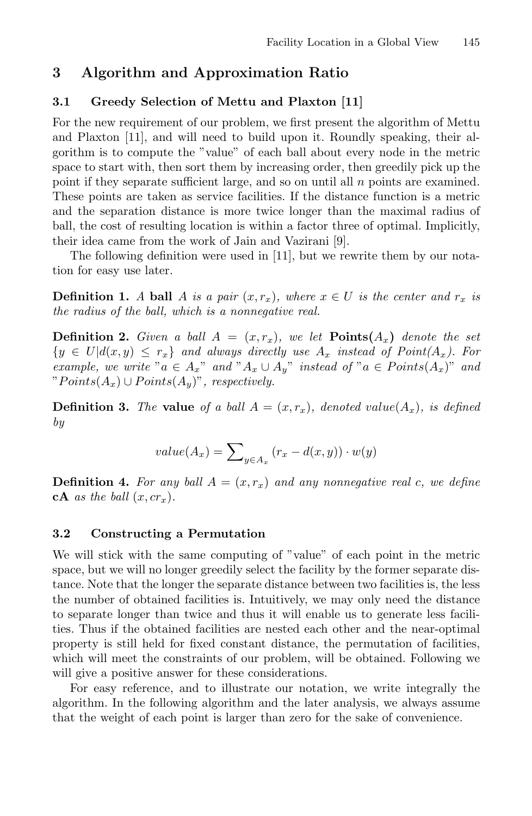## **3 Algorithm and Approximation Ratio**

#### **3.1 Greedy Selection of Mettu and Plaxton [11]**

For the new requirement of our problem, we first present the algorithm of Mettu and Plaxton [11], and will need to build upon it. Roundly speaking, their algorithm is to compute the "value" of each ball about every node in the metric space to start with, then sort them by increasing order, then greedily pick up the point if they separate sufficient large, and so on until all  $n$  points are examined. These points are taken as service facilities. If the distance function is a metric and the separation distance is more twice longer than the maximal radius of ball, the cost of resulting location is within a factor three of optimal. Implicitly, their idea came from the work of Jain and Vazirani [9].

The following definition were used in [11], but we rewrite them by our notation for easy use later.

**Definition 1.** *A* **ball** *A is a pair*  $(x, r_x)$ *, where*  $x \in U$  *is the center and*  $r_x$  *is the radius of the ball, which is a nonnegative real.*

**Definition 2.** *Given a ball*  $A = (x, r_x)$ *, we let*  $\textbf{Points}(A_x)$  *denote the set*  ${y \in U | d(x,y) \leq r_x}$  and always directly use  $A_x$  instead of  $Point(A_x)$ . For *example, we write* " $a \in A_x$ " *and* " $A_x \cup A_y$ " *instead of* " $a \in Points(A_x)$ " *and*  $"Points(A_x) \cup Points(A_y)", respectively.$ 

**Definition 3.** The **value** of a ball  $A = (x, r_x)$ , denoted value( $A_x$ ), is defined *by*

$$
value(A_x) = \sum_{y \in A_x} (r_x - d(x, y)) \cdot w(y)
$$

**Definition 4.** For any ball  $A = (x, r_x)$  and any nonnegative real c, we define **cA** *as the ball*  $(x, cr_x)$ *.* 

#### **3.2 Constructing a Permutation**

We will stick with the same computing of "value" of each point in the metric space, but we will no longer greedily select the facility by the former separate distance. Note that the longer the separate distance between two facilities is, the less the number of obtained facilities is. Intuitively, we may only need the distance to separate longer than twice and thus it will enable us to generate less facilities. Thus if the obtained facilities are nested each other and the near-optimal property is still held for fixed constant distance, the permutation of facilities, which will meet the constraints of our problem, will be obtained. Following we will give a positive answer for these considerations.

For easy reference, and to illustrate our notation, we write integrally the algorithm. In the following algorithm and the later analysis, we always assume that the weight of each point is larger than zero for the sake of convenience.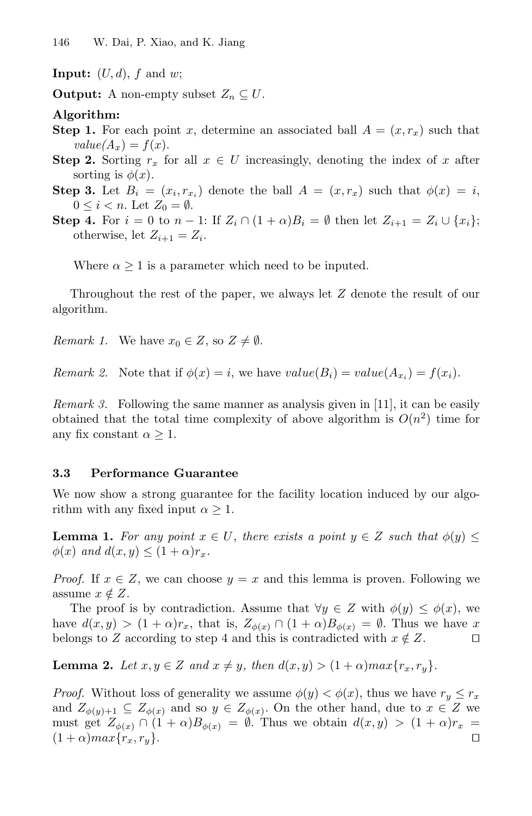**Input:**  $(U, d)$ ,  $f$  and  $w$ ;

**Output:** A non-empty subset  $Z_n \subseteq U$ .

## **Algorithm:**

- **Step 1.** For each point x, determine an associated ball  $A = (x, r_x)$  such that  $value(A_x) = f(x)$ .
- **Step 2.** Sorting  $r_x$  for all  $x \in U$  increasingly, denoting the index of x after sorting is  $\phi(x)$ .
- **Step 3.** Let  $B_i = (x_i, r_{x_i})$  denote the ball  $A = (x, r_x)$  such that  $\phi(x) = i$ ,  $0 \leq i < n$ . Let  $Z_0 = \emptyset$ .
- **Step 4.** For  $i = 0$  to  $n 1$ : If  $Z_i \cap (1 + \alpha)B_i = \emptyset$  then let  $Z_{i+1} = Z_i \cup \{x_i\}$ ; otherwise, let  $Z_{i+1} = Z_i$ .

Where  $\alpha \geq 1$  is a parameter which need to be inputed.

Throughout the rest of the paper, we always let Z denote the result of our algorithm.

*Remark 1.* We have  $x_0 \in Z$ , so  $Z \neq \emptyset$ .

*Remark 2.* Note that if  $\phi(x) = i$ , we have  $value(B_i) = value(A_{x_i}) = f(x_i)$ .

*Remark 3.* Following the same manner as analysis given in [11], it can be easily obtained that the total time complexity of above algorithm is  $O(n^2)$  time for any fix constant  $\alpha \geq 1$ .

### **3.3 Performance Guarantee**

We now show a strong guarantee for the facility location induced by our algorithm with any fixed input  $\alpha \geq 1$ .

**Lemma 1.** For any point  $x \in U$ , there exists a point  $y \in Z$  such that  $\phi(y) \leq$  $\phi(x)$  *and*  $d(x, y) \leq (1 + \alpha)r_x$ .

*Proof.* If  $x \in Z$ , we can choose  $y = x$  and this lemma is proven. Following we assume  $x \notin Z$ .

The proof is by contradiction. Assume that  $\forall y \in Z$  with  $\phi(y) \leq \phi(x)$ , we have  $d(x, y) > (1 + \alpha)r_x$ , that is,  $Z_{\phi(x)} \cap (1 + \alpha)B_{\phi(x)} = \emptyset$ . Thus we have x belongs to Z according to step 4 and this is contradicted with  $x \notin Z$ .  $\Box$ 

**Lemma 2.** *Let*  $x, y \in \mathbb{Z}$  *and*  $x \neq y$ *, then*  $d(x, y) > (1 + \alpha) max\{r_x, r_y\}$ *.* 

*Proof.* Without loss of generality we assume  $\phi(y) < \phi(x)$ , thus we have  $r_y \leq r_x$ and  $Z_{\phi(y)+1} \subseteq Z_{\phi(x)}$  and so  $y \in Z_{\phi(x)}$ . On the other hand, due to  $x \in Z$  we must get  $Z_{\phi(x)} \cap (1+\alpha)B_{\phi(x)} = \emptyset$ . Thus we obtain  $d(x,y) > (1+\alpha)r_x =$  $(1+\alpha) max\{r_x, r_y\}.$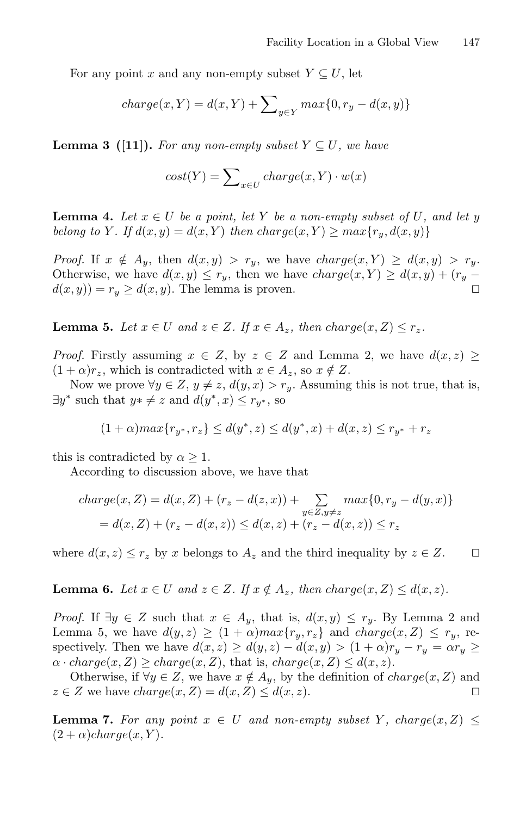For any point x and any non-empty subset  $Y \subseteq U$ , let

$$
charge(x, Y) = d(x, Y) + \sum_{y \in Y} max\{0, r_y - d(x, y)\}\
$$

**Lemma 3 ([11]).** *For any non-empty subset*  $Y \subseteq U$ *, we have* 

$$
cost(Y) = \sum_{x \in U} charge(x, Y) \cdot w(x)
$$

**Lemma 4.** *Let*  $x \in U$  *be a point, let* Y *be a non-empty subset of* U, and let y *belong to* Y. If  $d(x, y) = d(x, Y)$  *then*  $charge(x, Y) \geq max\{r_y, d(x, y)\}$ 

*Proof.* If  $x \notin A_y$ , then  $d(x, y) > r_y$ , we have  $charge(x, Y) \geq d(x, y) > r_y$ . Otherwise, we have  $d(x, y) \leq r_y$ , then we have  $charge(x, Y) \geq d(x, y) + (r_y - r_y)$  $d(x, y) = r_y \geq d(x, y)$ . The lemma is proven.

**Lemma 5.** *Let*  $x \in U$  *and*  $z \in Z$ *. If*  $x \in A_z$ *, then charge* $(x, Z) \leq r_z$ *.* 

*Proof.* Firstly assuming  $x \in Z$ , by  $z \in Z$  and Lemma 2, we have  $d(x, z) \ge$  $(1 + \alpha)r_z$ , which is contradicted with  $x \in A_z$ , so  $x \notin Z$ .

Now we prove  $\forall y \in Z, y \neq z, d(y, x) > r_y$ . Assuming this is not true, that is,  $\exists y^*$  such that  $y^* \neq z$  and  $d(y^*, x) \leq r_{y^*}$ , so

$$
(1+\alpha)max\{r_{y^*},r_z\} \le d(y^*,z) \le d(y^*,x) + d(x,z) \le r_{y^*} + r_z
$$

this is contradicted by  $\alpha \geq 1$ .

According to discussion above, we have that

$$
charge(x, Z) = d(x, Z) + (r_z - d(z, x)) + \sum_{y \in Z, y \neq z} max\{0, r_y - d(y, x)\}\
$$

$$
= d(x, Z) + (r_z - d(x, z)) \leq d(x, z) + (r_z - d(x, z)) \leq r_z
$$

where  $d(x, z) \leq r_z$  by x belongs to  $A_z$  and the third inequality by  $z \in Z$ .  $\Box$ 

**Lemma 6.** *Let*  $x \in U$  *and*  $z \in Z$ *. If*  $x \notin A_z$ *, then charge* $(x, Z) \leq d(x, z)$ *.* 

*Proof.* If  $\exists y \in Z$  such that  $x \in A_y$ , that is,  $d(x, y) \leq r_y$ . By Lemma 2 and Lemma 5, we have  $d(y, z) \geq (1 + \alpha) max\{r_y, r_z\}$  and  $charge(x, Z) \leq r_y$ , respectively. Then we have  $d(x, z) \geq d(y, z) - d(x, y) > (1 + \alpha)r_y - r_y = \alpha r_y \geq$  $\alpha \cdot charge(x, Z) \geq charge(x, Z)$ , that is,  $charge(x, Z) \leq d(x, z)$ .

Otherwise, if  $\forall y \in Z$ , we have  $x \notin A_y$ , by the definition of *charge* $(x, Z)$  and  $z \in Z$  we have  $charge(x, Z) = d(x, Z) \leq d(x, z)$ .

**Lemma 7.** For any point  $x \in U$  and non-empty subset Y, charge $(x, Z) \leq$  $(2 + \alpha)$ *charge* $(x, Y)$ *.*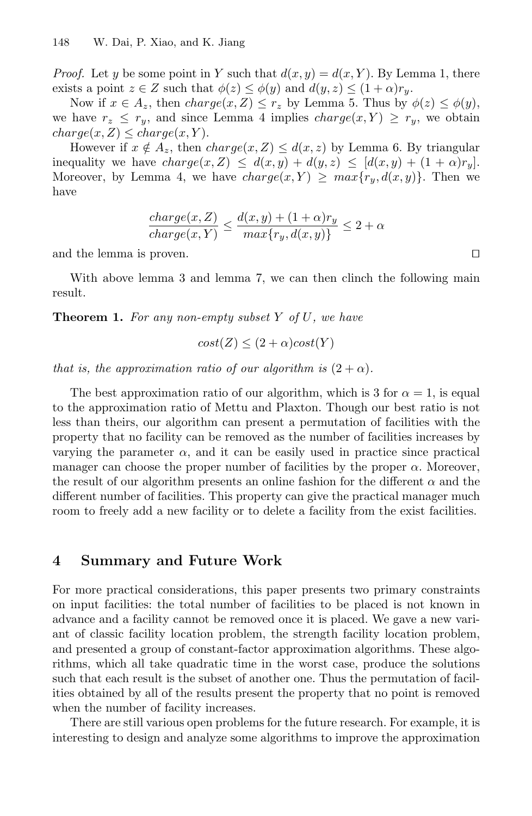*Proof.* Let y be some point in Y such that  $d(x, y) = d(x, Y)$ . By Lemma 1, there exists a point  $z \in Z$  such that  $\phi(z) \leq \phi(y)$  and  $d(y, z) \leq (1 + \alpha)r_y$ .

Now if  $x \in A_z$ , then  $charge(x, Z) \leq r_z$  by Lemma 5. Thus by  $\phi(z) \leq \phi(y)$ , we have  $r_z \leq r_y$ , and since Lemma 4 implies  $charge(x, Y) \geq r_y$ , we obtain  $charge(x, Z) \leq charge(x, Y)$ .

However if  $x \notin A_z$ , then  $charge(x, Z) \leq d(x, z)$  by Lemma 6. By triangular inequality we have  $charge(x, Z) \leq d(x, y) + d(y, z) \leq [d(x, y) + (1 + \alpha)r_y].$ Moreover, by Lemma 4, we have  $charge(x, Y) \geq max\{r_y, d(x, y)\}.$  Then we have

$$
\frac{charge(x,Z)}{charge(x,Y)} \le \frac{d(x,y) + (1+\alpha)r_y}{max\{r_y, d(x,y)\}} \le 2+\alpha
$$

and the lemma is proven.  $\Box$ 

With above lemma 3 and lemma 7, we can then clinch the following main result.

**Theorem 1.** *For any non-empty subset* Y *of* U*, we have*

$$
cost(Z) \le (2 + \alpha) cost(Y)
$$

*that is, the approximation ratio of our algorithm is*  $(2 + \alpha)$ *.* 

The best approximation ratio of our algorithm, which is 3 for  $\alpha = 1$ , is equal to the approximation ratio of Mettu and Plaxton. Though our best ratio is not less than theirs, our algorithm can present a permutation of facilities with the property that no facility can be removed as the number of facilities increases by varying the parameter  $\alpha$ , and it can be easily used in practice since practical manager can choose the proper number of facilities by the proper  $\alpha$ . Moreover, the result of our algorithm presents an online fashion for the different  $\alpha$  and the different number of facilities. This property can give the practical manager much room to freely add a new facility or to delete a facility from the exist facilities.

## **4 Summary and Future Work**

For more practical considerations, this paper presents two primary constraints on input facilities: the total number of facilities to be placed is not known in advance and a facility cannot be removed once it is placed. We gave a new variant of classic facility location problem, the strength facility location problem, and presented a group of constant-factor approximation algorithms. These algorithms, which all take quadratic time in the worst case, produce the solutions such that each result is the subset of another one. Thus the permutation of facilities obtained by all of the results present the property that no point is removed when the number of facility increases.

There are still various open problems for the future research. For example, it is interesting to design and analyze some algorithms to improve the approximation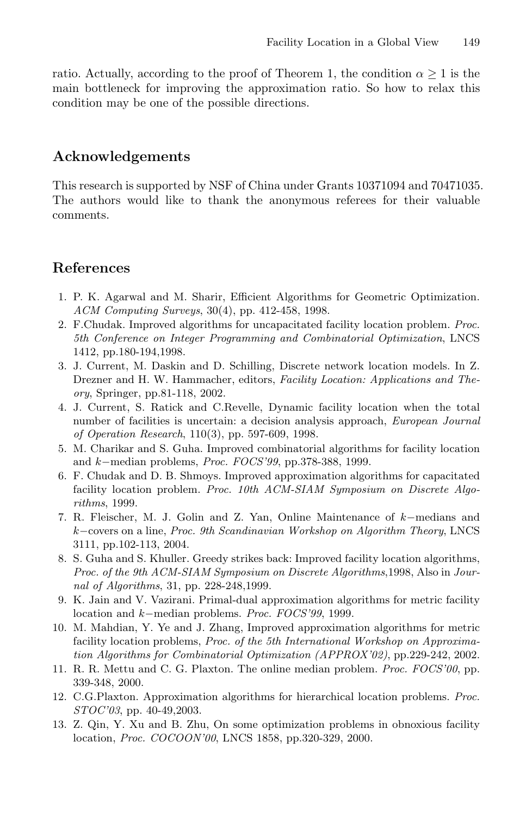ratio. Actually, according to the proof of Theorem 1, the condition  $\alpha \geq 1$  is the main bottleneck for improving the approximation ratio. So how to relax this condition may be one of the possible directions.

## **Acknowledgements**

This research is supported by NSF of China under Grants 10371094 and 70471035. The authors would like to thank the anonymous referees for their valuable comments.

# **References**

- 1. P. K. Agarwal and M. Sharir, Efficient Algorithms for Geometric Optimization. *ACM Computing Surveys*, 30(4), pp. 412-458, 1998.
- 2. F.Chudak. Improved algorithms for uncapacitated facility location problem. *Proc. 5th Conference on Integer Programming and Combinatorial Optimization*, LNCS 1412, pp.180-194,1998.
- 3. J. Current, M. Daskin and D. Schilling, Discrete network location models. In Z. Drezner and H. W. Hammacher, editors, *Facility Location: Applications and Theory*, Springer, pp.81-118, 2002.
- 4. J. Current, S. Ratick and C.Revelle, Dynamic facility location when the total number of facilities is uncertain: a decision analysis approach, *European Journal of Operation Research*, 110(3), pp. 597-609, 1998.
- 5. M. Charikar and S. Guha. Improved combinatorial algorithms for facility location and *k−*median problems, *Proc. FOCS'99*, pp.378-388, 1999.
- 6. F. Chudak and D. B. Shmoys. Improved approximation algorithms for capacitated facility location problem. *Proc. 10th ACM-SIAM Symposium on Discrete Algorithms*, 1999.
- 7. R. Fleischer, M. J. Golin and Z. Yan, Online Maintenance of *k−*medians and *k−*covers on a line, *Proc. 9th Scandinavian Workshop on Algorithm Theory*, LNCS 3111, pp.102-113, 2004.
- 8. S. Guha and S. Khuller. Greedy strikes back: Improved facility location algorithms, *Proc. of the 9th ACM-SIAM Symposium on Discrete Algorithms*,1998, Also in *Journal of Algorithms*, 31, pp. 228-248,1999.
- 9. K. Jain and V. Vazirani. Primal-dual approximation algorithms for metric facility location and *k−*median problems. *Proc. FOCS'99*, 1999.
- 10. M. Mahdian, Y. Ye and J. Zhang, Improved approximation algorithms for metric facility location problems, *Proc. of the 5th International Workshop on Approximation Algorithms for Combinatorial Optimization (APPROX'02)*, pp.229-242, 2002.
- 11. R. R. Mettu and C. G. Plaxton. The online median problem. *Proc. FOCS'00*, pp. 339-348, 2000.
- 12. C.G.Plaxton. Approximation algorithms for hierarchical location problems. *Proc. STOC'03*, pp. 40-49,2003.
- 13. Z. Qin, Y. Xu and B. Zhu, On some optimization problems in obnoxious facility location, *Proc. COCOON'00*, LNCS 1858, pp.320-329, 2000.